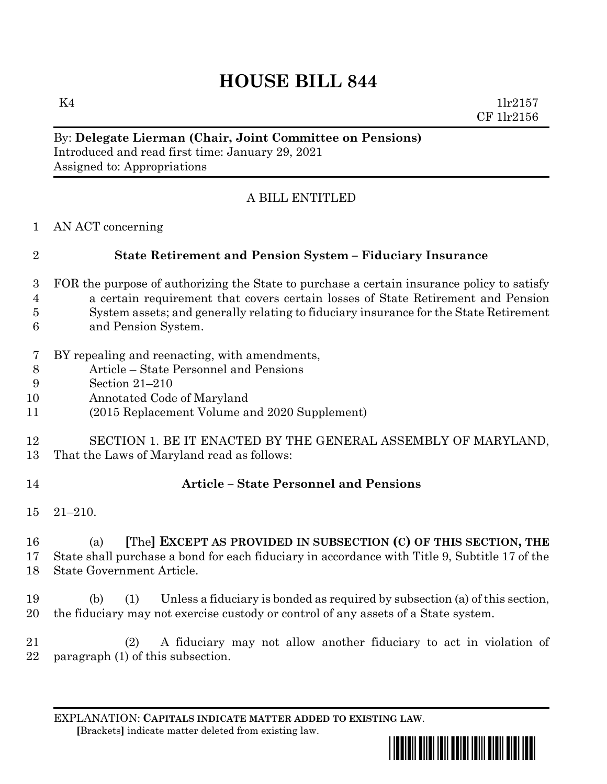# **HOUSE BILL 844**

 $K4$  1lr2157 CF 1lr2156

### By: **Delegate Lierman (Chair, Joint Committee on Pensions)** Introduced and read first time: January 29, 2021 Assigned to: Appropriations

# A BILL ENTITLED

AN ACT concerning

# **State Retirement and Pension System – Fiduciary Insurance**

- FOR the purpose of authorizing the State to purchase a certain insurance policy to satisfy a certain requirement that covers certain losses of State Retirement and Pension System assets; and generally relating to fiduciary insurance for the State Retirement and Pension System.
- BY repealing and reenacting, with amendments,
- Article State Personnel and Pensions
- Section 21–210
- Annotated Code of Maryland
- (2015 Replacement Volume and 2020 Supplement)

#### SECTION 1. BE IT ENACTED BY THE GENERAL ASSEMBLY OF MARYLAND, That the Laws of Maryland read as follows:

# **Article – State Personnel and Pensions**

21–210.

 (a) **[**The**] EXCEPT AS PROVIDED IN SUBSECTION (C) OF THIS SECTION, THE** State shall purchase a bond for each fiduciary in accordance with Title 9, Subtitle 17 of the State Government Article.

 (b) (1) Unless a fiduciary is bonded as required by subsection (a) of this section, the fiduciary may not exercise custody or control of any assets of a State system.

 (2) A fiduciary may not allow another fiduciary to act in violation of paragraph (1) of this subsection.

EXPLANATION: **CAPITALS INDICATE MATTER ADDED TO EXISTING LAW**.  **[**Brackets**]** indicate matter deleted from existing law.